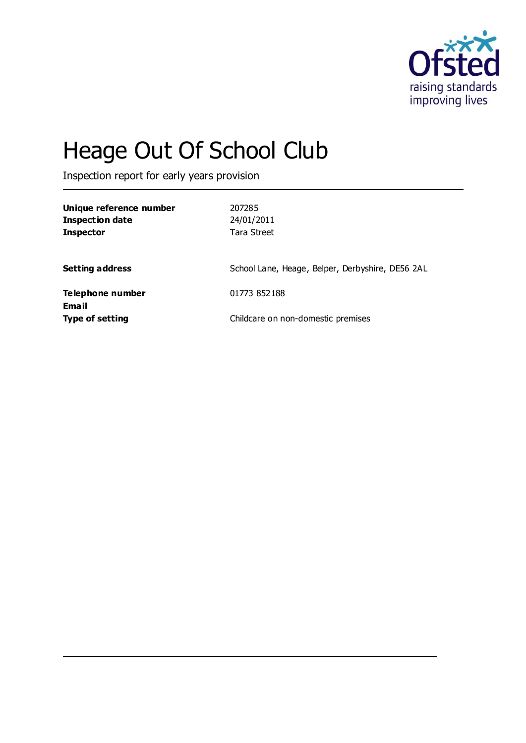

# Heage Out Of School Club

Inspection report for early years provision

| Unique reference number<br>Inspection date<br><b>Inspector</b> | 207285<br>24/01/2011<br>Tara Street              |
|----------------------------------------------------------------|--------------------------------------------------|
| <b>Setting address</b>                                         | School Lane, Heage, Belper, Derbyshire, DE56 2AL |
| Telephone number                                               | 01773 852188                                     |
| Email<br><b>Type of setting</b>                                | Childcare on non-domestic premises               |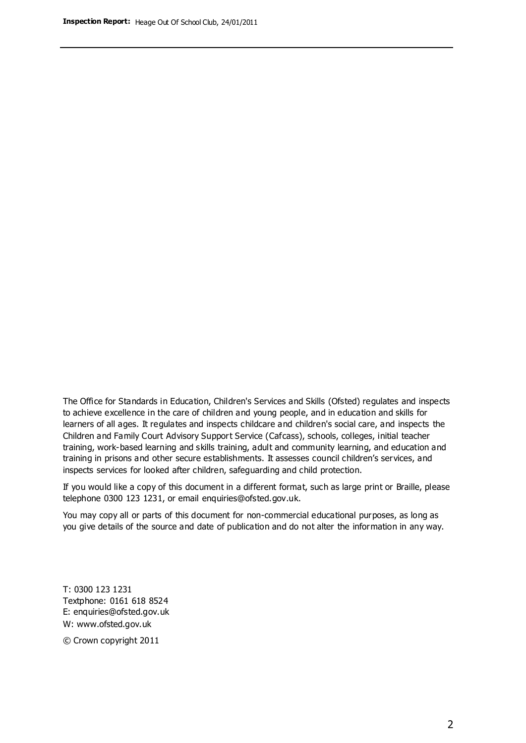The Office for Standards in Education, Children's Services and Skills (Ofsted) regulates and inspects to achieve excellence in the care of children and young people, and in education and skills for learners of all ages. It regulates and inspects childcare and children's social care, and inspects the Children and Family Court Advisory Support Service (Cafcass), schools, colleges, initial teacher training, work-based learning and skills training, adult and community learning, and education and training in prisons and other secure establishments. It assesses council children's services, and inspects services for looked after children, safeguarding and child protection.

If you would like a copy of this document in a different format, such as large print or Braille, please telephone 0300 123 1231, or email enquiries@ofsted.gov.uk.

You may copy all or parts of this document for non-commercial educational purposes, as long as you give details of the source and date of publication and do not alter the information in any way.

T: 0300 123 1231 Textphone: 0161 618 8524 E: enquiries@ofsted.gov.uk W: [www.ofsted.gov.uk](http://www.ofsted.gov.uk/)

© Crown copyright 2011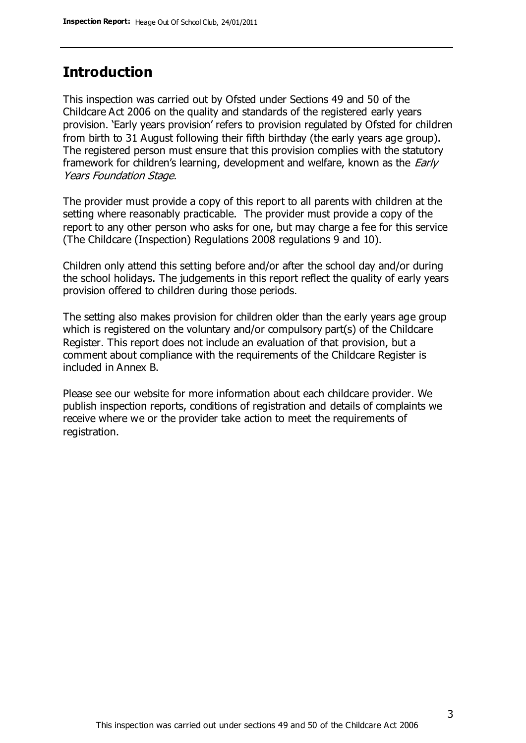## **Introduction**

This inspection was carried out by Ofsted under Sections 49 and 50 of the Childcare Act 2006 on the quality and standards of the registered early years provision. 'Early years provision' refers to provision regulated by Ofsted for children from birth to 31 August following their fifth birthday (the early years age group). The registered person must ensure that this provision complies with the statutory framework for children's learning, development and welfare, known as the *Early* Years Foundation Stage.

The provider must provide a copy of this report to all parents with children at the setting where reasonably practicable. The provider must provide a copy of the report to any other person who asks for one, but may charge a fee for this service (The Childcare (Inspection) Regulations 2008 regulations 9 and 10).

Children only attend this setting before and/or after the school day and/or during the school holidays. The judgements in this report reflect the quality of early years provision offered to children during those periods.

The setting also makes provision for children older than the early years age group which is registered on the voluntary and/or compulsory part(s) of the Childcare Register. This report does not include an evaluation of that provision, but a comment about compliance with the requirements of the Childcare Register is included in Annex B.

Please see our website for more information about each childcare provider. We publish inspection reports, conditions of registration and details of complaints we receive where we or the provider take action to meet the requirements of registration.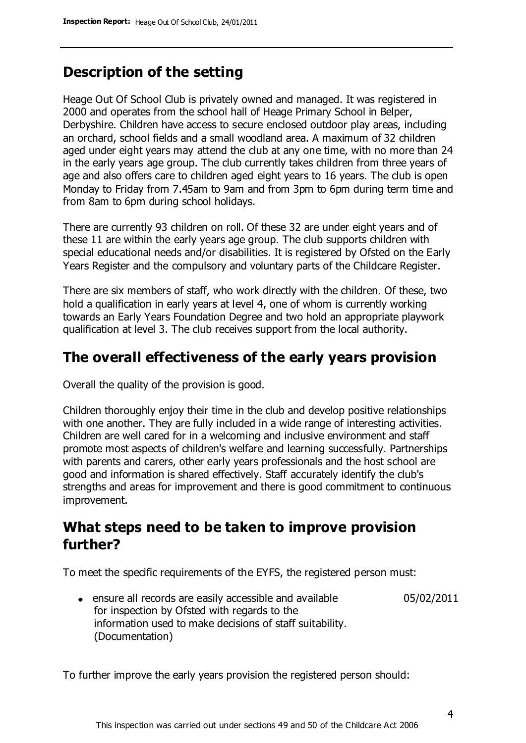# **Description of the setting**

Heage Out Of School Club is privately owned and managed. It was registered in 2000 and operates from the school hall of Heage Primary School in Belper, Derbyshire. Children have access to secure enclosed outdoor play areas, including an orchard, school fields and a small woodland area. A maximum of 32 children aged under eight years may attend the club at any one time, with no more than 24 in the early years age group. The club currently takes children from three years of age and also offers care to children aged eight years to 16 years. The club is open Monday to Friday from 7.45am to 9am and from 3pm to 6pm during term time and from 8am to 6pm during school holidays.

There are currently 93 children on roll. Of these 32 are under eight years and of these 11 are within the early years age group. The club supports children with special educational needs and/or disabilities. It is registered by Ofsted on the Early Years Register and the compulsory and voluntary parts of the Childcare Register.

There are six members of staff, who work directly with the children. Of these, two hold a qualification in early years at level 4, one of whom is currently working towards an Early Years Foundation Degree and two hold an appropriate playwork qualification at level 3. The club receives support from the local authority.

## **The overall effectiveness of the early years provision**

Overall the quality of the provision is good.

Children thoroughly enjoy their time in the club and develop positive relationships with one another. They are fully included in a wide range of interesting activities. Children are well cared for in a welcoming and inclusive environment and staff promote most aspects of children's welfare and learning successfully. Partnerships with parents and carers, other early years professionals and the host school are good and information is shared effectively. Staff accurately identify the club's strengths and areas for improvement and there is good commitment to continuous improvement.

# **What steps need to be taken to improve provision further?**

To meet the specific requirements of the EYFS, the registered person must:

ensure all records are easily accessible and available for inspection by Ofsted with regards to the information used to make decisions of staff suitability. (Documentation) 05/02/2011

To further improve the early years provision the registered person should: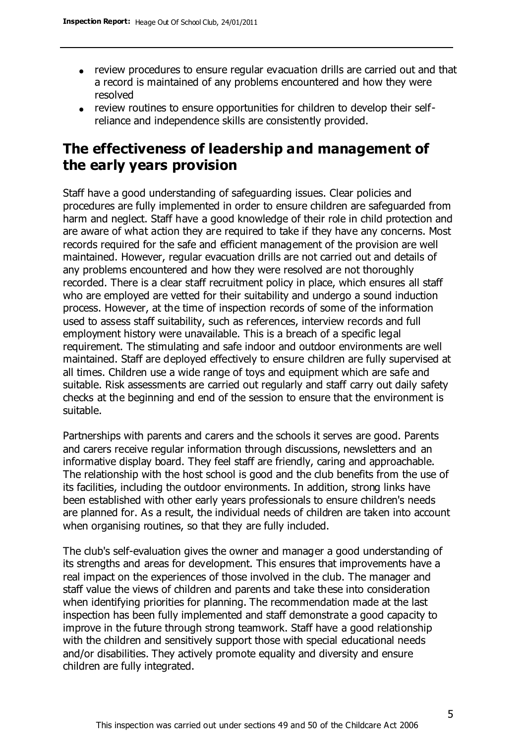- review procedures to ensure regular evacuation drills are carried out and that a record is maintained of any problems encountered and how they were resolved
- review routines to ensure opportunities for children to develop their selfreliance and independence skills are consistently provided.

# **The effectiveness of leadership and management of the early years provision**

Staff have a good understanding of safeguarding issues. Clear policies and procedures are fully implemented in order to ensure children are safeguarded from harm and neglect. Staff have a good knowledge of their role in child protection and are aware of what action they are required to take if they have any concerns. Most records required for the safe and efficient management of the provision are well maintained. However, regular evacuation drills are not carried out and details of any problems encountered and how they were resolved are not thoroughly recorded. There is a clear staff recruitment policy in place, which ensures all staff who are employed are vetted for their suitability and undergo a sound induction process. However, at the time of inspection records of some of the information used to assess staff suitability, such as references, interview records and full employment history were unavailable. This is a breach of a specific legal requirement. The stimulating and safe indoor and outdoor environments are well maintained. Staff are deployed effectively to ensure children are fully supervised at all times. Children use a wide range of toys and equipment which are safe and suitable. Risk assessments are carried out regularly and staff carry out daily safety checks at the beginning and end of the session to ensure that the environment is suitable.

Partnerships with parents and carers and the schools it serves are good. Parents and carers receive regular information through discussions, newsletters and an informative display board. They feel staff are friendly, caring and approachable. The relationship with the host school is good and the club benefits from the use of its facilities, including the outdoor environments. In addition, strong links have been established with other early years professionals to ensure children's needs are planned for. As a result, the individual needs of children are taken into account when organising routines, so that they are fully included.

The club's self-evaluation gives the owner and manager a good understanding of its strengths and areas for development. This ensures that improvements have a real impact on the experiences of those involved in the club. The manager and staff value the views of children and parents and take these into consideration when identifying priorities for planning. The recommendation made at the last inspection has been fully implemented and staff demonstrate a good capacity to improve in the future through strong teamwork. Staff have a good relationship with the children and sensitively support those with special educational needs and/or disabilities. They actively promote equality and diversity and ensure children are fully integrated.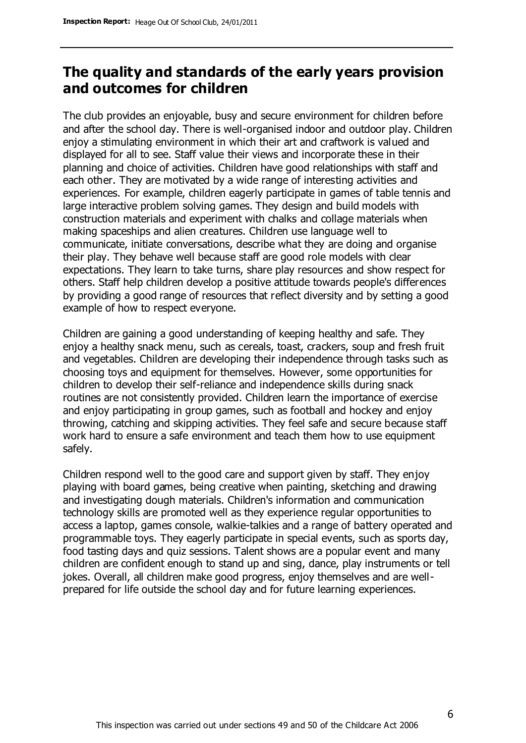# **The quality and standards of the early years provision and outcomes for children**

The club provides an enjoyable, busy and secure environment for children before and after the school day. There is well-organised indoor and outdoor play. Children enjoy a stimulating environment in which their art and craftwork is valued and displayed for all to see. Staff value their views and incorporate these in their planning and choice of activities. Children have good relationships with staff and each other. They are motivated by a wide range of interesting activities and experiences. For example, children eagerly participate in games of table tennis and large interactive problem solving games. They design and build models with construction materials and experiment with chalks and collage materials when making spaceships and alien creatures. Children use language well to communicate, initiate conversations, describe what they are doing and organise their play. They behave well because staff are good role models with clear expectations. They learn to take turns, share play resources and show respect for others. Staff help children develop a positive attitude towards people's differences by providing a good range of resources that reflect diversity and by setting a good example of how to respect everyone.

Children are gaining a good understanding of keeping healthy and safe. They enjoy a healthy snack menu, such as cereals, toast, crackers, soup and fresh fruit and vegetables. Children are developing their independence through tasks such as choosing toys and equipment for themselves. However, some opportunities for children to develop their self-reliance and independence skills during snack routines are not consistently provided. Children learn the importance of exercise and enjoy participating in group games, such as football and hockey and enjoy throwing, catching and skipping activities. They feel safe and secure because staff work hard to ensure a safe environment and teach them how to use equipment safely.

Children respond well to the good care and support given by staff. They enjoy playing with board games, being creative when painting, sketching and drawing and investigating dough materials. Children's information and communication technology skills are promoted well as they experience regular opportunities to access a laptop, games console, walkie-talkies and a range of battery operated and programmable toys. They eagerly participate in special events, such as sports day, food tasting days and quiz sessions. Talent shows are a popular event and many children are confident enough to stand up and sing, dance, play instruments or tell jokes. Overall, all children make good progress, enjoy themselves and are wellprepared for life outside the school day and for future learning experiences.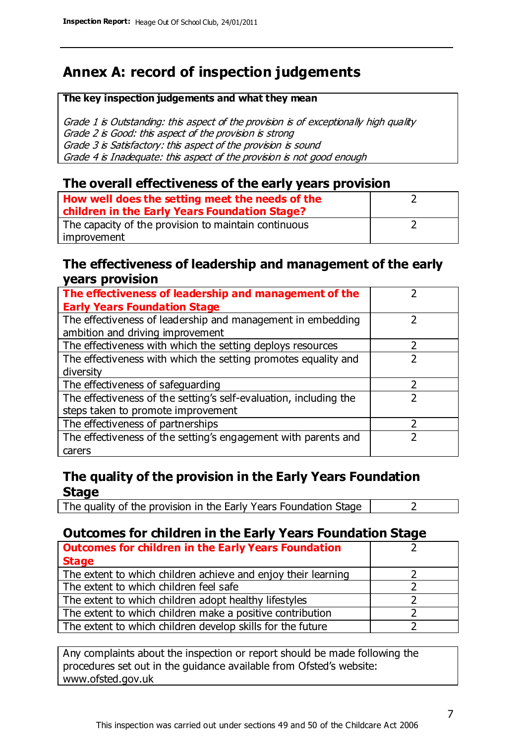# **Annex A: record of inspection judgements**

#### **The key inspection judgements and what they mean**

Grade 1 is Outstanding: this aspect of the provision is of exceptionally high quality Grade 2 is Good: this aspect of the provision is strong Grade 3 is Satisfactory: this aspect of the provision is sound Grade 4 is Inadequate: this aspect of the provision is not good enough

## **The overall effectiveness of the early years provision**

| How well does the setting meet the needs of the<br>children in the Early Years Foundation Stage? |  |
|--------------------------------------------------------------------------------------------------|--|
| The capacity of the provision to maintain continuous                                             |  |
| improvement                                                                                      |  |

### **The effectiveness of leadership and management of the early years provision**

| The effectiveness of leadership and management of the             |  |
|-------------------------------------------------------------------|--|
| <b>Early Years Foundation Stage</b>                               |  |
| The effectiveness of leadership and management in embedding       |  |
| ambition and driving improvement                                  |  |
| The effectiveness with which the setting deploys resources        |  |
| The effectiveness with which the setting promotes equality and    |  |
| diversity                                                         |  |
| The effectiveness of safeguarding                                 |  |
| The effectiveness of the setting's self-evaluation, including the |  |
| steps taken to promote improvement                                |  |
| The effectiveness of partnerships                                 |  |
| The effectiveness of the setting's engagement with parents and    |  |
| carers                                                            |  |

## **The quality of the provision in the Early Years Foundation Stage**

The quality of the provision in the Early Years Foundation Stage  $\vert$  2

## **Outcomes for children in the Early Years Foundation Stage**

| <b>Outcomes for children in the Early Years Foundation</b>    |  |
|---------------------------------------------------------------|--|
| <b>Stage</b>                                                  |  |
| The extent to which children achieve and enjoy their learning |  |
| The extent to which children feel safe                        |  |
| The extent to which children adopt healthy lifestyles         |  |
| The extent to which children make a positive contribution     |  |
| The extent to which children develop skills for the future    |  |

Any complaints about the inspection or report should be made following the procedures set out in the guidance available from Ofsted's website: www.ofsted.gov.uk